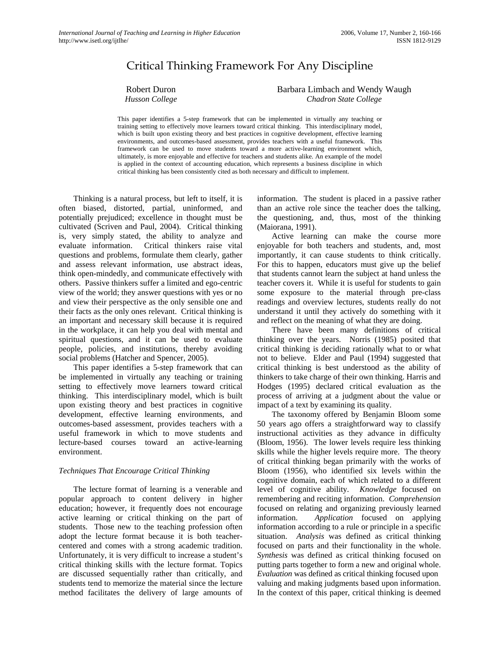# Critical Thinking Framework For Any Discipline

Robert Duron *Husson College*  Barbara Limbach and Wendy Waugh *Chadron State College*

This paper identifies a 5-step framework that can be implemented in virtually any teaching or training setting to effectively move learners toward critical thinking. This interdisciplinary model, which is built upon existing theory and best practices in cognitive development, effective learning environments, and outcomes-based assessment, provides teachers with a useful framework. This framework can be used to move students toward a more active-learning environment which, ultimately, is more enjoyable and effective for teachers and students alike. An example of the model is applied in the context of accounting education, which represents a business discipline in which critical thinking has been consistently cited as both necessary and difficult to implement.

Thinking is a natural process, but left to itself, it is often biased, distorted, partial, uninformed, and potentially prejudiced; excellence in thought must be cultivated (Scriven and Paul, 2004). Critical thinking is, very simply stated, the ability to analyze and evaluate information. Critical thinkers raise vital questions and problems, formulate them clearly, gather and assess relevant information, use abstract ideas, think open-mindedly, and communicate effectively with others. Passive thinkers suffer a limited and ego-centric view of the world; they answer questions with yes or no and view their perspective as the only sensible one and their facts as the only ones relevant. Critical thinking is an important and necessary skill because it is required in the workplace, it can help you deal with mental and spiritual questions, and it can be used to evaluate people, policies, and institutions, thereby avoiding social problems (Hatcher and Spencer, 2005).

 This paper identifies a 5-step framework that can be implemented in virtually any teaching or training setting to effectively move learners toward critical thinking. This interdisciplinary model, which is built upon existing theory and best practices in cognitive development, effective learning environments, and outcomes-based assessment, provides teachers with a useful framework in which to move students and lecture-based courses toward an active-learning environment.

## *Techniques That Encourage Critical Thinking*

 The lecture format of learning is a venerable and popular approach to content delivery in higher education; however, it frequently does not encourage active learning or critical thinking on the part of students. Those new to the teaching profession often adopt the lecture format because it is both teachercentered and comes with a strong academic tradition. Unfortunately, it is very difficult to increase a student's critical thinking skills with the lecture format. Topics are discussed sequentially rather than critically, and students tend to memorize the material since the lecture method facilitates the delivery of large amounts of information. The student is placed in a passive rather than an active role since the teacher does the talking, the questioning, and, thus, most of the thinking (Maiorana, 1991).

 Active learning can make the course more enjoyable for both teachers and students, and, most importantly, it can cause students to think critically. For this to happen, educators must give up the belief that students cannot learn the subject at hand unless the teacher covers it. While it is useful for students to gain some exposure to the material through pre-class readings and overview lectures, students really do not understand it until they actively do something with it and reflect on the meaning of what they are doing.

 There have been many definitions of critical thinking over the years. Norris (1985) posited that critical thinking is deciding rationally what to or what not to believe. Elder and Paul (1994) suggested that critical thinking is best understood as the ability of thinkers to take charge of their own thinking. Harris and Hodges (1995) declared critical evaluation as the process of arriving at a judgment about the value or impact of a text by examining its quality.

The taxonomy offered by Benjamin Bloom some 50 years ago offers a straightforward way to classify instructional activities as they advance in difficulty (Bloom, 1956). The lower levels require less thinking skills while the higher levels require more. The theory of critical thinking began primarily with the works of Bloom (1956), who identified six levels within the cognitive domain*,* each of which related to a different level of cognitive ability. *Knowledge* focused on remembering and reciting information. *Comprehension* focused on relating and organizing previously learned information. *Application* focused on applying information according to a rule or principle in a specific situation. *Analysis* was defined as critical thinking focused on parts and their functionality in the whole. *Synthesis* was defined as critical thinking focused on putting parts together to form a new and original whole. *Evaluation* was defined as critical thinking focused upon valuing and making judgments based upon information. In the context of this paper, critical thinking is deemed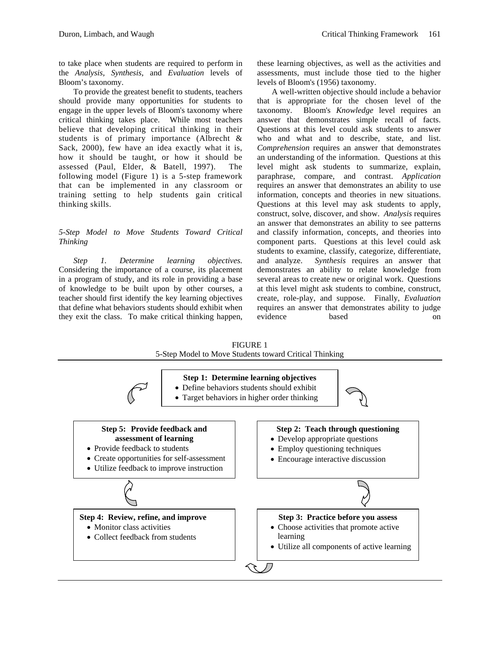to take place when students are required to perform in the *Analysis, Synthesis,* and *Evaluation* levels of Bloom's taxonomy.

 To provide the greatest benefit to students, teachers should provide many opportunities for students to engage in the upper levels of Bloom's taxonomy where critical thinking takes place. While most teachers believe that developing critical thinking in their students is of primary importance (Albrecht & Sack, 2000), few have an idea exactly what it is, how it should be taught, or how it should be assessed (Paul, Elder, & Batell, 1997). The following model (Figure 1) is a 5-step framework that can be implemented in any classroom or training setting to help students gain critical thinking skills.

## *5-Step Model to Move Students Toward Critical Thinking*

*Step 1. Determine learning objectives.*  Considering the importance of a course, its placement in a program of study, and its role in providing a base of knowledge to be built upon by other courses, a teacher should first identify the key learning objectives that define what behaviors students should exhibit when they exit the class. To make critical thinking happen, these learning objectives, as well as the activities and assessments, must include those tied to the higher levels of Bloom's (1956) taxonomy.

 A well-written objective should include a behavior that is appropriate for the chosen level of the taxonomy. Bloom's *Knowledge* level requires an answer that demonstrates simple recall of facts. Questions at this level could ask students to answer who and what and to describe, state, and list. *Comprehension* requires an answer that demonstrates an understanding of the information. Questions at this level might ask students to summarize, explain, paraphrase, compare, and contrast. *Application* requires an answer that demonstrates an ability to use information, concepts and theories in new situations. Questions at this level may ask students to apply, construct, solve, discover, and show. *Analysis* requires an answer that demonstrates an ability to see patterns and classify information, concepts, and theories into component parts. Questions at this level could ask students to examine, classify, categorize, differentiate, and analyze. *Synthesis* requires an answer that demonstrates an ability to relate knowledge from several areas to create new or original work. Questions at this level might ask students to combine, construct, create, role-play, and suppose. Finally, *Evaluation* requires an answer that demonstrates ability to judge evidence based on

FIGURE 1 5-Step Model to Move Students toward Critical Thinking

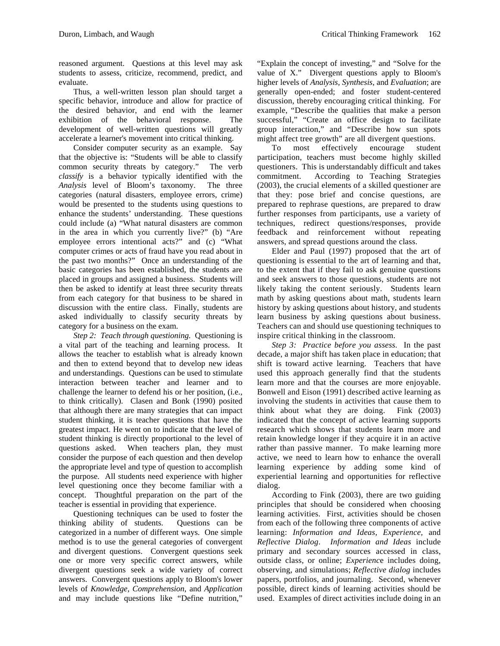reasoned argument. Questions at this level may ask students to assess, criticize, recommend, predict, and evaluate.

 Thus, a well-written lesson plan should target a specific behavior, introduce and allow for practice of the desired behavior, and end with the learner exhibition of the behavioral response. The development of well-written questions will greatly accelerate a learner's movement into critical thinking.

Consider computer security as an example. Say that the objective is: "Students will be able to classify common security threats by category." The verb *classify* is a behavior typically identified with the *Analysis* level of Bloom's taxonomy. The three categories (natural disasters, employee errors, crime) would be presented to the students using questions to enhance the students' understanding. These questions could include (a) "What natural disasters are common in the area in which you currently live?" (b) "Are employee errors intentional acts?" and (c) "What computer crimes or acts of fraud have you read about in the past two months?" Once an understanding of the basic categories has been established, the students are placed in groups and assigned a business. Students will then be asked to identify at least three security threats from each category for that business to be shared in discussion with the entire class. Finally, students are asked individually to classify security threats by category for a business on the exam.

*Step 2: Teach through questioning.* Questioning is a vital part of the teaching and learning process. It allows the teacher to establish what is already known and then to extend beyond that to develop new ideas and understandings. Questions can be used to stimulate interaction between teacher and learner and to challenge the learner to defend his or her position, (i.e., to think critically). Clasen and Bonk (1990) posited that although there are many strategies that can impact student thinking, it is teacher questions that have the greatest impact. He went on to indicate that the level of student thinking is directly proportional to the level of questions asked. When teachers plan, they must consider the purpose of each question and then develop the appropriate level and type of question to accomplish the purpose. All students need experience with higher level questioning once they become familiar with a concept. Thoughtful preparation on the part of the teacher is essential in providing that experience.

 Questioning techniques can be used to foster the thinking ability of students. Questions can be categorized in a number of different ways. One simple method is to use the general categories of convergent and divergent questions. Convergent questions seek one or more very specific correct answers, while divergent questions seek a wide variety of correct answers. Convergent questions apply to Bloom's lower levels of *Knowledge, Comprehension*, and *Application* and may include questions like "Define nutrition,"

"Explain the concept of investing," and "Solve for the value of X." Divergent questions apply to Bloom's higher levels of *Analysis, Synthesis*, and *Evaluation*; are generally open-ended; and foster student-centered discussion, thereby encouraging critical thinking. For example, "Describe the qualities that make a person successful," "Create an office design to facilitate group interaction," and "Describe how sun spots might affect tree growth" are all divergent questions.

To most effectively encourage student participation, teachers must become highly skilled questioners. This is understandably difficult and takes commitment. According to Teaching Strategies (2003), the crucial elements of a skilled questioner are that they: pose brief and concise questions, are prepared to rephrase questions, are prepared to draw further responses from participants, use a variety of techniques, redirect questions/responses, provide feedback and reinforcement without repeating answers, and spread questions around the class.

 Elder and Paul (1997) proposed that the art of questioning is essential to the art of learning and that, to the extent that if they fail to ask genuine questions and seek answers to those questions, students are not likely taking the content seriously. Students learn math by asking questions about math, students learn history by asking questions about history, and students learn business by asking questions about business. Teachers can and should use questioning techniques to inspire critical thinking in the classroom.

*Step 3: Practice before you assess.* In the past decade, a major shift has taken place in education; that shift is toward active learning. Teachers that have used this approach generally find that the students learn more and that the courses are more enjoyable. Bonwell and Eison (1991) described active learning as involving the students in activities that cause them to think about what they are doing. Fink (2003) indicated that the concept of active learning supports research which shows that students learn more and retain knowledge longer if they acquire it in an active rather than passive manner. To make learning more active, we need to learn how to enhance the overall learning experience by adding some kind of experiential learning and opportunities for reflective dialog.

 According to Fink (2003), there are two guiding principles that should be considered when choosing learning activities. First, activities should be chosen from each of the following three components of active learning: *Information and Ideas, Experience,* and *Reflective Dialog*. *Information and Ideas* include primary and secondary sources accessed in class, outside class, or online; *Experienc*e includes doing, observing, and simulations; *Reflective dialog* includes papers, portfolios, and journaling. Second, whenever possible, direct kinds of learning activities should be used. Examples of direct activities include doing in an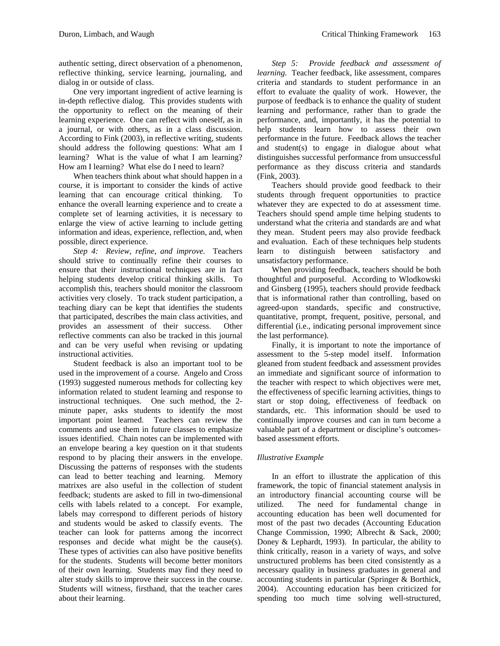authentic setting, direct observation of a phenomenon, reflective thinking, service learning, journaling, and dialog in or outside of class.

One very important ingredient of active learning is in-depth reflective dialog. This provides students with the opportunity to reflect on the meaning of their learning experience. One can reflect with oneself, as in a journal, or with others, as in a class discussion. According to Fink (2003), in reflective writing, students should address the following questions: What am I learning? What is the value of what I am learning? How am I learning? What else do I need to learn?

 When teachers think about what should happen in a course, it is important to consider the kinds of active learning that can encourage critical thinking. To enhance the overall learning experience and to create a complete set of learning activities, it is necessary to enlarge the view of active learning to include getting information and ideas, experience, reflection, and, when possible, direct experience.

*Step 4: Review, refine, and improve.* Teachers should strive to continually refine their courses to ensure that their instructional techniques are in fact helping students develop critical thinking skills. To accomplish this, teachers should monitor the classroom activities very closely. To track student participation, a teaching diary can be kept that identifies the students that participated, describes the main class activities, and provides an assessment of their success. Other reflective comments can also be tracked in this journal and can be very useful when revising or updating instructional activities.

Student feedback is also an important tool to be used in the improvement of a course. Angelo and Cross (1993) suggested numerous methods for collecting key information related to student learning and response to instructional techniques. One such method, the 2 minute paper, asks students to identify the most important point learned. Teachers can review the comments and use them in future classes to emphasize issues identified. Chain notes can be implemented with an envelope bearing a key question on it that students respond to by placing their answers in the envelope. Discussing the patterns of responses with the students can lead to better teaching and learning. Memory matrixes are also useful in the collection of student feedback; students are asked to fill in two-dimensional cells with labels related to a concept. For example, labels may correspond to different periods of history and students would be asked to classify events. The teacher can look for patterns among the incorrect responses and decide what might be the cause(s). These types of activities can also have positive benefits for the students. Students will become better monitors of their own learning. Students may find they need to alter study skills to improve their success in the course. Students will witness, firsthand, that the teacher cares about their learning.

*Step 5: Provide feedback and assessment of learning.* Teacher feedback, like assessment, compares criteria and standards to student performance in an effort to evaluate the quality of work. However, the purpose of feedback is to enhance the quality of student learning and performance, rather than to grade the performance, and, importantly, it has the potential to help students learn how to assess their own performance in the future. Feedback allows the teacher and student(s) to engage in dialogue about what distinguishes successful performance from unsuccessful performance as they discuss criteria and standards (Fink, 2003).

 Teachers should provide good feedback to their students through frequent opportunities to practice whatever they are expected to do at assessment time. Teachers should spend ample time helping students to understand what the criteria and standards are and what they mean. Student peers may also provide feedback and evaluation. Each of these techniques help students learn to distinguish between satisfactory and unsatisfactory performance.

 When providing feedback, teachers should be both thoughtful and purposeful. According to Wlodkowski and Ginsberg (1995), teachers should provide feedback that is informational rather than controlling, based on agreed-upon standards, specific and constructive, quantitative, prompt, frequent, positive, personal, and differential (i.e., indicating personal improvement since the last performance).

 Finally, it is important to note the importance of assessment to the 5-step model itself. Information gleaned from student feedback and assessment provides an immediate and significant source of information to the teacher with respect to which objectives were met, the effectiveness of specific learning activities, things to start or stop doing, effectiveness of feedback on standards, etc. This information should be used to continually improve courses and can in turn become a valuable part of a department or discipline's outcomesbased assessment efforts.

## *Illustrative Example*

 In an effort to illustrate the application of this framework, the topic of financial statement analysis in an introductory financial accounting course will be utilized. The need for fundamental change in accounting education has been well documented for most of the past two decades (Accounting Education Change Commission, 1990; Albrecht & Sack, 2000; Doney & Lephardt, 1993). In particular, the ability to think critically, reason in a variety of ways, and solve unstructured problems has been cited consistently as a necessary quality in business graduates in general and accounting students in particular (Springer & Borthick, 2004). Accounting education has been criticized for spending too much time solving well-structured,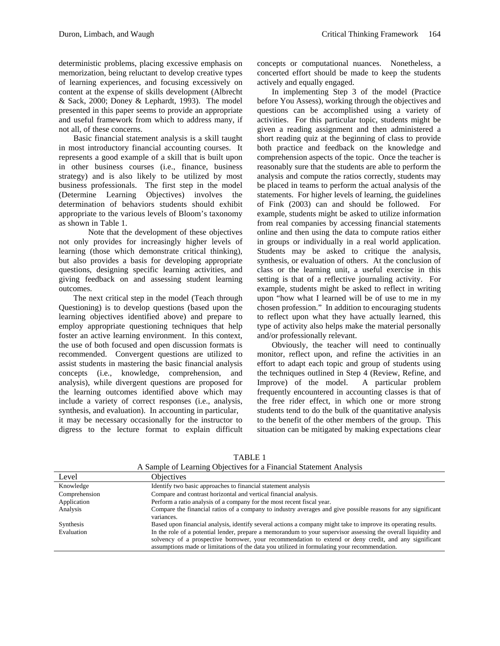deterministic problems, placing excessive emphasis on memorization, being reluctant to develop creative types of learning experiences, and focusing excessively on content at the expense of skills development (Albrecht & Sack, 2000; Doney & Lephardt, 1993). The model presented in this paper seems to provide an appropriate and useful framework from which to address many, if not all, of these concerns.

 Basic financial statement analysis is a skill taught in most introductory financial accounting courses. It represents a good example of a skill that is built upon in other business courses (i.e., finance, business strategy) and is also likely to be utilized by most business professionals. The first step in the model (Determine Learning Objectives) involves the determination of behaviors students should exhibit appropriate to the various levels of Bloom's taxonomy as shown in Table 1.

Note that the development of these objectives not only provides for increasingly higher levels of learning (those which demonstrate critical thinking), but also provides a basis for developing appropriate questions, designing specific learning activities, and giving feedback on and assessing student learning outcomes.

The next critical step in the model (Teach through Questioning) is to develop questions (based upon the learning objectives identified above) and prepare to employ appropriate questioning techniques that help foster an active learning environment. In this context, the use of both focused and open discussion formats is recommended. Convergent questions are utilized to assist students in mastering the basic financial analysis concepts (i.e., knowledge, comprehension, and analysis), while divergent questions are proposed for the learning outcomes identified above which may include a variety of correct responses (i.e., analysis, synthesis, and evaluation). In accounting in particular, it may be necessary occasionally for the instructor to digress to the lecture format to explain difficult

concepts or computational nuances. Nonetheless, a concerted effort should be made to keep the students actively and equally engaged.

 In implementing Step 3 of the model (Practice before You Assess), working through the objectives and questions can be accomplished using a variety of activities. For this particular topic, students might be given a reading assignment and then administered a short reading quiz at the beginning of class to provide both practice and feedback on the knowledge and comprehension aspects of the topic. Once the teacher is reasonably sure that the students are able to perform the analysis and compute the ratios correctly, students may be placed in teams to perform the actual analysis of the statements. For higher levels of learning, the guidelines of Fink (2003) can and should be followed. For example, students might be asked to utilize information from real companies by accessing financial statements online and then using the data to compute ratios either in groups or individually in a real world application. Students may be asked to critique the analysis, synthesis, or evaluation of others. At the conclusion of class or the learning unit, a useful exercise in this setting is that of a reflective journaling activity. For example, students might be asked to reflect in writing upon "how what I learned will be of use to me in my chosen profession." In addition to encouraging students to reflect upon what they have actually learned, this type of activity also helps make the material personally and/or professionally relevant.

Obviously, the teacher will need to continually monitor, reflect upon, and refine the activities in an effort to adapt each topic and group of students using the techniques outlined in Step 4 (Review, Refine, and Improve) of the model. A particular problem frequently encountered in accounting classes is that of the free rider effect, in which one or more strong students tend to do the bulk of the quantitative analysis to the benefit of the other members of the group. This situation can be mitigated by making expectations clear

| A Bampic of Learning Objectives for a Financial Blatement Analysis |                                                                                                                                                                                                                                                                                                                         |
|--------------------------------------------------------------------|-------------------------------------------------------------------------------------------------------------------------------------------------------------------------------------------------------------------------------------------------------------------------------------------------------------------------|
| Level                                                              | <b>Objectives</b>                                                                                                                                                                                                                                                                                                       |
| Knowledge                                                          | Identify two basic approaches to financial statement analysis                                                                                                                                                                                                                                                           |
| Comprehension                                                      | Compare and contrast horizontal and vertical financial analysis.                                                                                                                                                                                                                                                        |
| Application                                                        | Perform a ratio analysis of a company for the most recent fiscal year.                                                                                                                                                                                                                                                  |
| Analysis                                                           | Compare the financial ratios of a company to industry averages and give possible reasons for any significant<br>variances.                                                                                                                                                                                              |
| Synthesis                                                          | Based upon financial analysis, identify several actions a company might take to improve its operating results.                                                                                                                                                                                                          |
| Evaluation                                                         | In the role of a potential lender, prepare a memorandum to your supervisor assessing the overall liquidity and<br>solvency of a prospective borrower, your recommendation to extend or deny credit, and any significant<br>assumptions made or limitations of the data you utilized in formulating your recommendation. |

TABLE 1 A Sample of Learning Objectives for a Financial Statement Analysis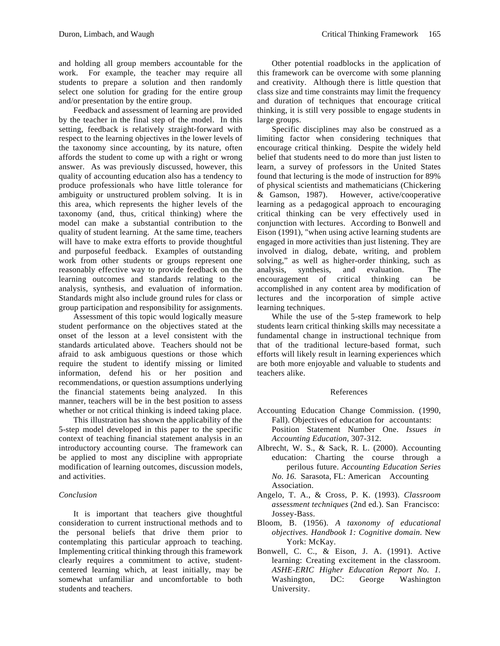and holding all group members accountable for the work. For example, the teacher may require all students to prepare a solution and then randomly select one solution for grading for the entire group and/or presentation by the entire group.

 Feedback and assessment of learning are provided by the teacher in the final step of the model. In this setting, feedback is relatively straight-forward with respect to the learning objectives in the lower levels of the taxonomy since accounting, by its nature, often affords the student to come up with a right or wrong answer. As was previously discussed, however, this quality of accounting education also has a tendency to produce professionals who have little tolerance for ambiguity or unstructured problem solving. It is in this area, which represents the higher levels of the taxonomy (and, thus, critical thinking) where the model can make a substantial contribution to the quality of student learning. At the same time, teachers will have to make extra efforts to provide thoughtful and purposeful feedback. Examples of outstanding work from other students or groups represent one reasonably effective way to provide feedback on the learning outcomes and standards relating to the analysis, synthesis, and evaluation of information. Standards might also include ground rules for class or group participation and responsibility for assignments.

 Assessment of this topic would logically measure student performance on the objectives stated at the onset of the lesson at a level consistent with the standards articulated above. Teachers should not be afraid to ask ambiguous questions or those which require the student to identify missing or limited information, defend his or her position and recommendations, or question assumptions underlying the financial statements being analyzed. In this manner, teachers will be in the best position to assess whether or not critical thinking is indeed taking place.

This illustration has shown the applicability of the 5-step model developed in this paper to the specific context of teaching financial statement analysis in an introductory accounting course. The framework can be applied to most any discipline with appropriate modification of learning outcomes, discussion models, and activities.

## *Conclusion*

 It is important that teachers give thoughtful consideration to current instructional methods and to the personal beliefs that drive them prior to contemplating this particular approach to teaching. Implementing critical thinking through this framework clearly requires a commitment to active, studentcentered learning which, at least initially, may be somewhat unfamiliar and uncomfortable to both students and teachers.

Other potential roadblocks in the application of this framework can be overcome with some planning and creativity. Although there is little question that class size and time constraints may limit the frequency and duration of techniques that encourage critical thinking, it is still very possible to engage students in large groups.

Specific disciplines may also be construed as a limiting factor when considering techniques that encourage critical thinking. Despite the widely held belief that students need to do more than just listen to learn, a survey of professors in the United States found that lecturing is the mode of instruction for 89% of physical scientists and mathematicians (Chickering & Gamson, 1987). However, active/cooperative learning as a pedagogical approach to encouraging critical thinking can be very effectively used in conjunction with lectures. According to Bonwell and Eison (1991), "when using active learning students are engaged in more activities than just listening. They are involved in dialog, debate, writing, and problem solving," as well as higher-order thinking, such as analysis, synthesis, and evaluation. The encouragement of critical thinking can be accomplished in any content area by modification of lectures and the incorporation of simple active learning techniques.

While the use of the 5-step framework to help students learn critical thinking skills may necessitate a fundamental change in instructional technique from that of the traditional lecture-based format, such efforts will likely result in learning experiences which are both more enjoyable and valuable to students and teachers alike.

#### References

- Accounting Education Change Commission. (1990, Fall). Objectives of education for accountants: Position Statement Number One. *Issues in Accounting Education*, 307-312.
- Albrecht, W. S., & Sack, R. L. (2000). Accounting education: Charting the course through a perilous future. *Accounting Education Series No. 16.* Sarasota, FL: American Accounting Association.
- Angelo, T. A., & Cross, P. K. (1993). *Classroom assessment techniques* (2nd ed.). San Francisco: Jossey-Bass.
- Bloom, B. (1956). *A taxonomy of educational objectives. Handbook 1: Cognitive domain.* New York: McKay.
- Bonwell, C. C., & Eison, J. A. (1991). Active learning: Creating excitement in the classroom. *ASHE-ERIC Higher Education Report No. 1.* Washington, DC: George Washington University.